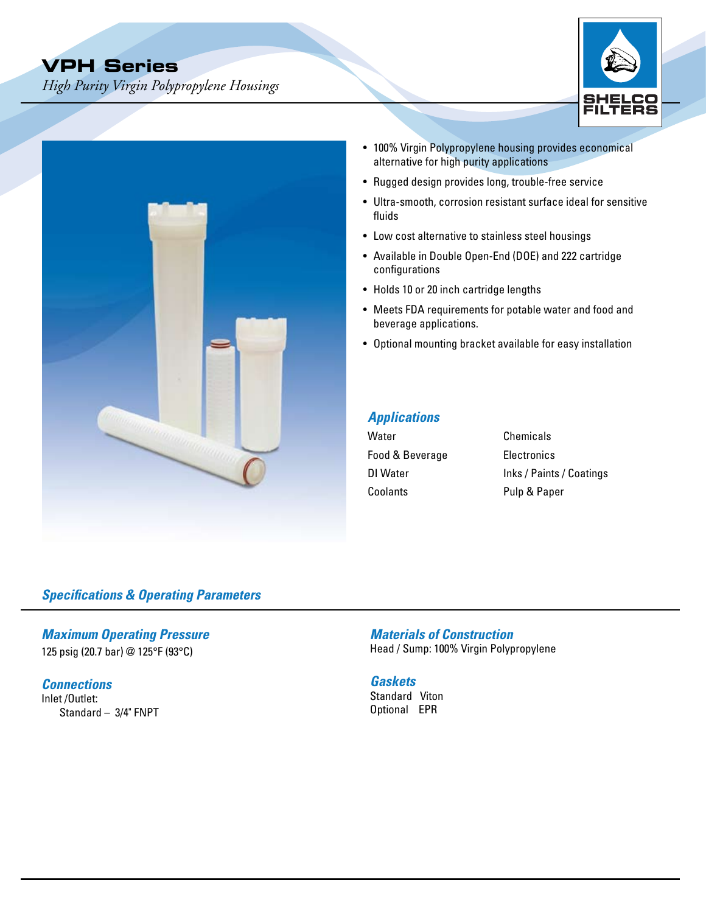*High Purity Virgin Polypropylene Housings*





- 100% Virgin Polypropylene housing provides economical alternative for high purity applications
- Rugged design provides long, trouble-free service
- Ultra-smooth, corrosion resistant surface ideal for sensitive fluids
- Low cost alternative to stainless steel housings
- Available in Double Open-End (DOE) and 222 cartridge configurations
- Holds 10 or 20 inch cartridge lengths
- Meets FDA requirements for potable water and food and beverage applications.
- Optional mounting bracket available for easy installation

# *Applications*

| Water           | Chemicals                |
|-----------------|--------------------------|
| Food & Beverage | Electronics              |
| DI Water        | Inks / Paints / Coatings |
| Coolants        | Pulp & Paper             |

## *Specifications & Operating Parameters*

*Maximum Operating Pressure* 125 psig (20.7 bar) @ 125°F (93°C)

*Connections* Inlet /Outlet:

Standard – 3/4" FNPT

*Materials of Construction* Head / Sump: 100% Virgin Polypropylene

#### *Gaskets*

Standard Viton Optional EPR